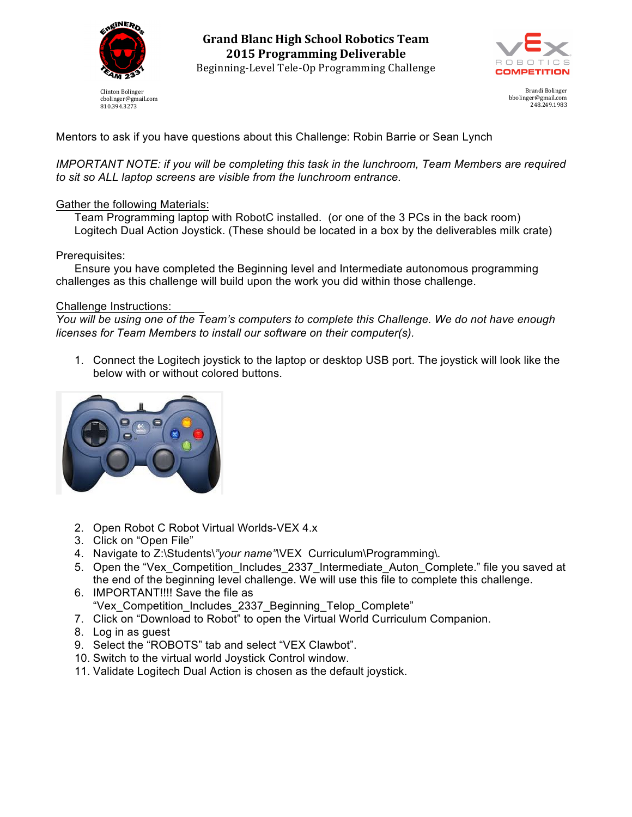

Clinton Bolinger cbolinger@gmail.com 810.394.3273

**Grand Blanc High School Robotics Team 2015 Programming Deliverable** Beginning-Level Tele-Op Programming Challenge



Brandi Bolinger bbolinger@gmail.com 248.249.1983

Mentors to ask if you have questions about this Challenge: Robin Barrie or Sean Lynch

*IMPORTANT NOTE: if you will be completing this task in the lunchroom, Team Members are required to sit so ALL laptop screens are visible from the lunchroom entrance.*

## Gather the following Materials:

Team Programming laptop with RobotC installed. (or one of the 3 PCs in the back room) Logitech Dual Action Joystick. (These should be located in a box by the deliverables milk crate)

## Prerequisites:

Ensure you have completed the Beginning level and Intermediate autonomous programming challenges as this challenge will build upon the work you did within those challenge.

## Challenge Instructions:

*You will be using one of the Team's computers to complete this Challenge. We do not have enough licenses for Team Members to install our software on their computer(s).*

1. Connect the Logitech joystick to the laptop or desktop USB port. The joystick will look like the below with or without colored buttons.



- 2. Open Robot C Robot Virtual Worlds-VEX 4.x
- 3. Click on "Open File"
- 4. Navigate to Z:\Students\*"your name"\*VEX Curriculum\Programming\*.*
- 5. Open the "Vex\_Competition\_Includes\_2337\_Intermediate\_Auton\_Complete." file you saved at the end of the beginning level challenge. We will use this file to complete this challenge.
- 6. IMPORTANT!!!! Save the file as "Vex\_Competition\_Includes\_2337\_Beginning\_Telop\_Complete"
- 7. Click on "Download to Robot" to open the Virtual World Curriculum Companion.
- 8. Log in as guest
- 9. Select the "ROBOTS" tab and select "VEX Clawbot".
- 10. Switch to the virtual world Joystick Control window.
- 11. Validate Logitech Dual Action is chosen as the default joystick.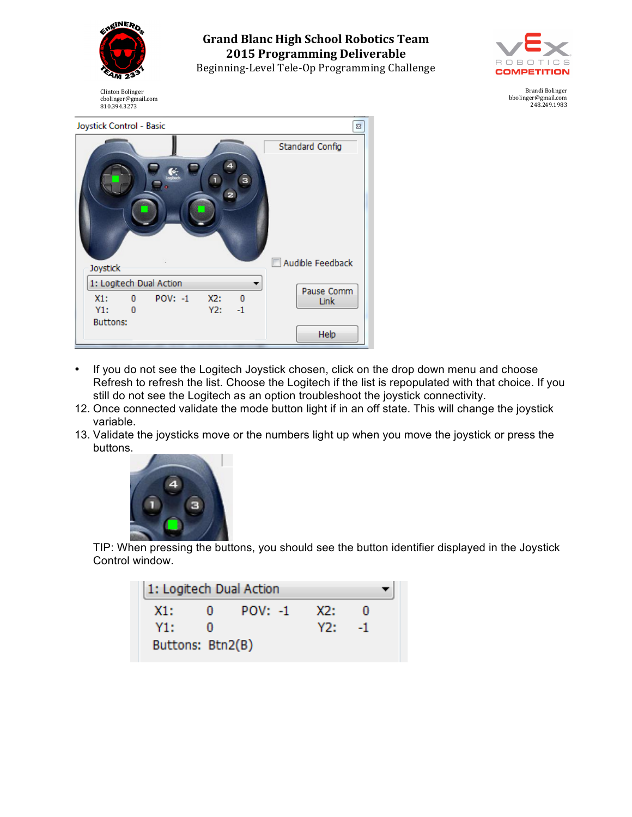

**Grand Blanc High School Robotics Team 2015 Programming Deliverable** Beginning-Level Tele-Op Programming Challenge



Brandi Bolinger bbolinger@gmail.com 248.249.1983

Clinton Bolinger cbolinger@gmail.com 810.394.3273

| Joystick Control - Basic |           |     |            | 23               |
|--------------------------|-----------|-----|------------|------------------|
|                          |           |     |            | Standard Config  |
|                          |           |     | з          |                  |
| Joystick                 |           |     |            | Audible Feedback |
| 1: Logitech Dual Action  |           |     |            | Pause Comm       |
| $\mathbf{0}$<br>X1:      | $POV: -1$ | X2: | $^{\circ}$ | Link             |
| Y1:<br>$\bf{0}$          |           | Y2: | $-1$       |                  |
| <b>Buttons:</b>          |           |     |            |                  |
|                          |           |     |            | Help             |

- If you do not see the Logitech Joystick chosen, click on the drop down menu and choose Refresh to refresh the list. Choose the Logitech if the list is repopulated with that choice. If you still do not see the Logitech as an option troubleshoot the joystick connectivity.
- 12. Once connected validate the mode button light if in an off state. This will change the joystick variable.
- 13. Validate the joysticks move or the numbers light up when you move the joystick or press the buttons.



TIP: When pressing the buttons, you should see the button identifier displayed in the Joystick Control window.

| 1: Logitech Dual Action |   |           |     |    |  |
|-------------------------|---|-----------|-----|----|--|
| X1:                     | о | $POV: -1$ | X2: |    |  |
| Y1:                     |   |           | Y2: | -1 |  |
| Buttons: Btn2(B)        |   |           |     |    |  |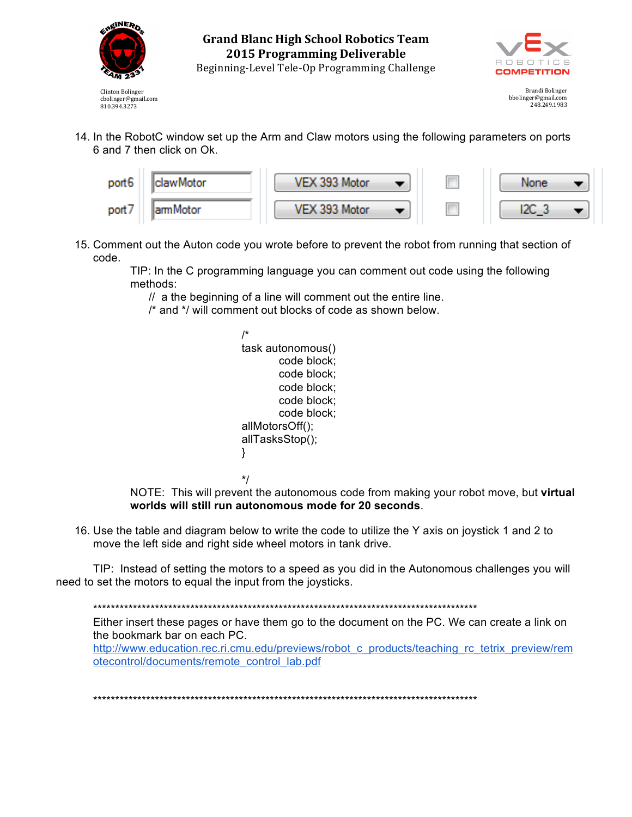

**Grand Blanc High School Robotics Team** 2015 Programming Deliverable Beginning-Level Tele-Op Programming Challenge



Brandi Bolinger bbolinger@gmail.com<br>248.249.1983

14. In the RobotC window set up the Arm and Claw motors using the following parameters on ports 6 and 7 then click on Ok.



15. Comment out the Auton code you wrote before to prevent the robot from running that section of code.

TIP: In the C programming language you can comment out code using the following methods:

// a the beginning of a line will comment out the entire line.

/\* and \*/ will comment out blocks of code as shown below.

| task autonomous() |  |  |  |  |  |
|-------------------|--|--|--|--|--|
| code block;       |  |  |  |  |  |
| code block;       |  |  |  |  |  |
| code block;       |  |  |  |  |  |
| code block;       |  |  |  |  |  |
| code block;       |  |  |  |  |  |
| allMotorsOff();   |  |  |  |  |  |
| allTasksStop();   |  |  |  |  |  |
| ļ                 |  |  |  |  |  |
|                   |  |  |  |  |  |
|                   |  |  |  |  |  |

NOTE: This will prevent the autonomous code from making your robot move, but virtual worlds will still run autonomous mode for 20 seconds.

16. Use the table and diagram below to write the code to utilize the Y axis on joystick 1 and 2 to move the left side and right side wheel motors in tank drive.

TIP: Instead of setting the motors to a speed as you did in the Autonomous challenges you will need to set the motors to equal the input from the joysticks.

Either insert these pages or have them go to the document on the PC. We can create a link on the bookmark bar on each PC.

http://www.education.rec.ri.cmu.edu/previews/robot c products/teaching rc tetrix preview/rem otecontrol/documents/remote control lab.pdf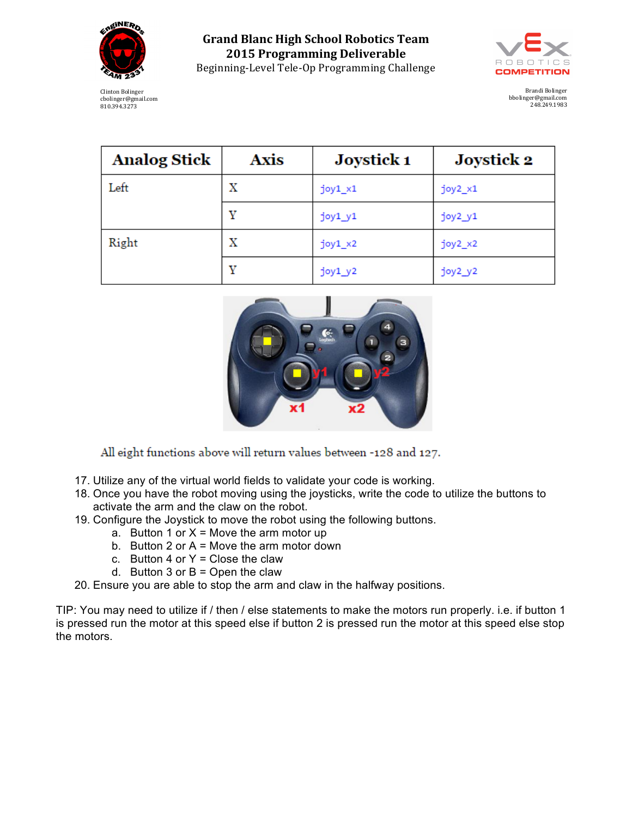

**Grand Blanc High School Robotics Team 2015 Programming Deliverable** Beginning-Level Tele-Op Programming Challenge



Brandi Bolinger bbolinger@gmail.com 248.249.1983

| Clinton Bolinger    |
|---------------------|
| cbolinger@gmail.com |
| 810.394.3273        |

| <b>Analog Stick</b> | <b>Axis</b> | Joystick 1 | <b>Joystick 2</b> |
|---------------------|-------------|------------|-------------------|
| Left                | x           | joy1_x1    | joy2_x1           |
|                     | v           | joy1_y1    | joy2_y1           |
| Right               | x           | $joy1_x2$  | $joy2_x2$         |
|                     | v           | $joy1_y2$  | $joy2_y2$         |



All eight functions above will return values between -128 and 127.

- 17. Utilize any of the virtual world fields to validate your code is working.
- 18. Once you have the robot moving using the joysticks, write the code to utilize the buttons to activate the arm and the claw on the robot.
- 19. Configure the Joystick to move the robot using the following buttons.
	- a. Button 1 or  $X =$  Move the arm motor up
	- b. Button 2 or  $A =$  Move the arm motor down
	- c. Button 4 or  $Y =$  Close the claw
	- d. Button 3 or  $B =$  Open the claw
- 20. Ensure you are able to stop the arm and claw in the halfway positions.

TIP: You may need to utilize if / then / else statements to make the motors run properly. i.e. if button 1 is pressed run the motor at this speed else if button 2 is pressed run the motor at this speed else stop the motors.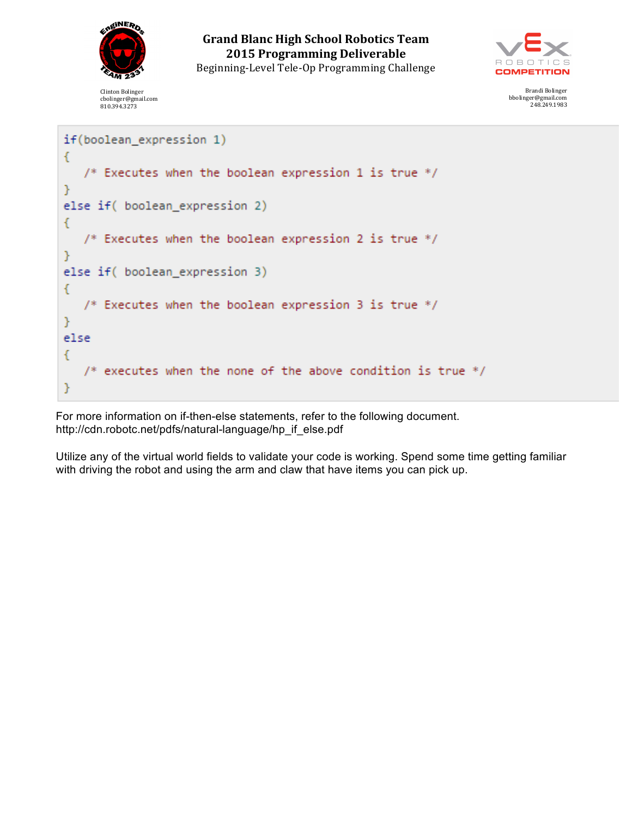

Clinton Bolinger cbolinger@gmail.com 810.394.3273

**Grand Blanc High School Robotics Team 2015 Programming Deliverable** Beginning-Level Tele-Op Programming Challenge



Brandi Bolinger bbolinger@gmail.com 248.249.1983

```
if(boolean_expression 1)
€
   /* Executes when the boolean expression 1 is true */ŀ
else if( boolean_expression 2)
€
   /* Executes when the boolean expression 2 is true */ŀ
else if( boolean_expression 3)
€
   /* Executes when the boolean expression 3 is true */ŀ
else
€
   /* executes when the none of the above condition is true */Y
```
For more information on if-then-else statements, refer to the following document. http://cdn.robotc.net/pdfs/natural-language/hp\_if\_else.pdf

Utilize any of the virtual world fields to validate your code is working. Spend some time getting familiar with driving the robot and using the arm and claw that have items you can pick up.